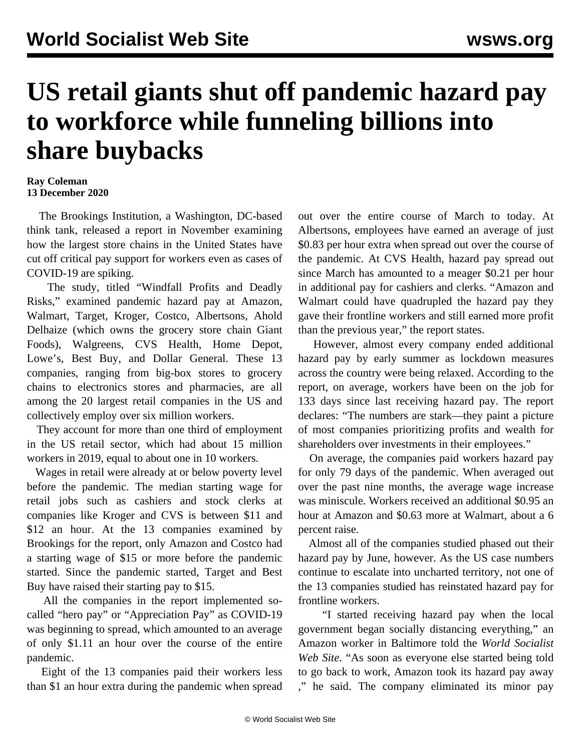## **US retail giants shut off pandemic hazard pay to workforce while funneling billions into share buybacks**

## **Ray Coleman 13 December 2020**

 The Brookings Institution, a Washington, DC-based think tank, released a report in November examining how the largest store chains in the United States have cut off critical pay support for workers even as cases of COVID-19 are spiking.

 The study, titled "Windfall Profits and Deadly Risks," examined pandemic hazard pay at Amazon, Walmart, Target, Kroger, Costco, Albertsons, Ahold Delhaize (which owns the grocery store chain Giant Foods), Walgreens, CVS Health, Home Depot, Lowe's, Best Buy, and Dollar General. These 13 companies, ranging from big-box stores to grocery chains to electronics stores and pharmacies, are all among the 20 largest retail companies in the US and collectively employ over six million workers.

 They account for more than one third of employment in the US retail sector, which had about 15 million workers in 2019, equal to about one in 10 workers.

 Wages in retail were already at or below poverty level before the pandemic. The median starting wage for retail jobs such as cashiers and stock clerks at companies like Kroger and CVS is between \$11 and \$12 an hour. At the 13 companies examined by Brookings for the report, only Amazon and Costco had a starting wage of \$15 or more before the pandemic started. Since the pandemic started, Target and Best Buy have raised their starting pay to \$15.

 All the companies in the report implemented socalled "hero pay" or "Appreciation Pay" as COVID-19 was beginning to spread, which amounted to an average of only \$1.11 an hour over the course of the entire pandemic.

 Eight of the 13 companies paid their workers less than \$1 an hour extra during the pandemic when spread

out over the entire course of March to today. At Albertsons, employees have earned an average of just \$0.83 per hour extra when spread out over the course of the pandemic. At CVS Health, hazard pay spread out since March has amounted to a meager \$0.21 per hour in additional pay for cashiers and clerks. "Amazon and Walmart could have quadrupled the hazard pay they gave their frontline workers and still earned more profit than the previous year," the report states.

 However, almost every company ended additional hazard pay by early summer as lockdown measures across the country were being relaxed. According to the report, on average, workers have been on the job for 133 days since last receiving hazard pay. The report declares: "The numbers are stark—they paint a picture of most companies prioritizing profits and wealth for shareholders over investments in their employees."

 On average, the companies paid workers hazard pay for only 79 days of the pandemic. When averaged out over the past nine months, the average wage increase was miniscule. Workers received an additional \$0.95 an hour at Amazon and \$0.63 more at Walmart, about a 6 percent raise.

 Almost all of the companies studied phased out their hazard pay by June, however. As the US case numbers continue to escalate into uncharted territory, not one of the 13 companies studied has reinstated hazard pay for frontline workers.

 "I started receiving hazard pay when the local government began socially distancing everything," an Amazon worker in Baltimore told the *World Socialist Web Site*. "As soon as everyone else started being told to go back to work, [Amazon took its hazard pay away](/en/articles/2020/05/18/amau-m18.html) ," he said. The company eliminated its minor pay